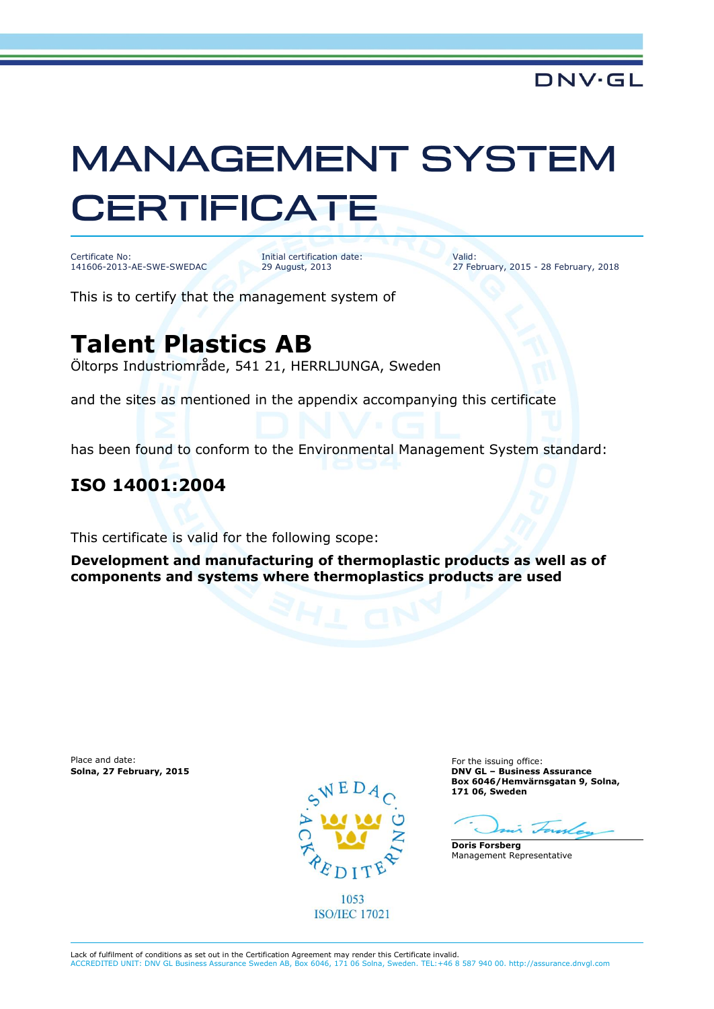# **MANAGEMENT SYSTEM CERTIFICATE**

Certificate No: 141606-2013-AE-SWE-SWEDAC

Initial certification date: 29 August, 2013

Valid: 27 February, 2015 - 28 February, 2018

This is to certify that the management system of

# **Talent Plastics AB**

Öltorps Industriområde, 541 21, HERRLJUNGA, Sweden

and the sites as mentioned in the appendix accompanying this certificate

has been found to conform to the Environmental Management System standard:

### **ISO 14001:2004**

This certificate is valid for the following scope:

**Development and manufacturing of thermoplastic products as well as of components and systems where thermoplastics products are used**

Place and date: For the issuing office:<br> **Solna, 27 February, 2015 Example 2018 Example 2018 Example 2018 Example 2018 Example 2018 Example 2018** 



1053 **ISO/IEC 17021**  **Solna, 27 February, 2015 DNV GL – Business Assurance Box 6046/Hemvärnsgatan 9, Solna, 171 06, Sweden**

 $\sim$ 

**Doris Forsberg** Management Representative

Lack of fulfilment of conditions as set out in the Certification Agreement may render this Certificate invalid.

ACCREDITED UNIT: DNV GL Business Assurance Sweden AB, Box 6046, 171 06 Solna, Sweden. TEL:+46 8 587 940 00. http://assurance.dnvgl.com